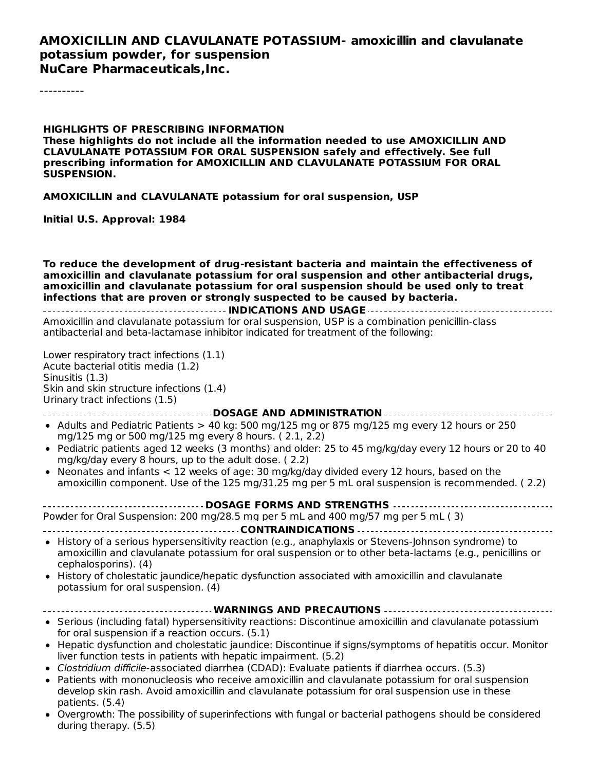#### **AMOXICILLIN AND CLAVULANATE POTASSIUM- amoxicillin and clavulanate potassium powder, for suspension NuCare Pharmaceuticals,Inc.**

----------

#### **HIGHLIGHTS OF PRESCRIBING INFORMATION These highlights do not include all the information needed to use AMOXICILLIN AND CLAVULANATE POTASSIUM FOR ORAL SUSPENSION safely and effectively. See full prescribing information for AMOXICILLIN AND CLAVULANATE POTASSIUM FOR ORAL SUSPENSION.**

**AMOXICILLIN and CLAVULANATE potassium for oral suspension, USP**

**Initial U.S. Approval: 1984**

**To reduce the development of drug-resistant bacteria and maintain the effectiveness of amoxicillin and clavulanate potassium for oral suspension and other antibacterial drugs, amoxicillin and clavulanate potassium for oral suspension should be used only to treat infections that are proven or strongly suspected to be caused by bacteria.**

**INDICATIONS AND USAGE** Amoxicillin and clavulanate potassium for oral suspension, USP is a combination penicillin-class antibacterial and beta-lactamase inhibitor indicated for treatment of the following:

Lower respiratory tract infections (1.1) Acute bacterial otitis media (1.2) Sinusitis (1.3) Skin and skin structure infections (1.4) Urinary tract infections (1.5)

**DOSAGE AND ADMINISTRATION**

- Adults and Pediatric Patients  $> 40$  kg: 500 mg/125 mg or 875 mg/125 mg every 12 hours or 250 mg/125 mg or 500 mg/125 mg every 8 hours. ( 2.1, 2.2)
- Pediatric patients aged 12 weeks (3 months) and older: 25 to 45 mg/kg/day every 12 hours or 20 to 40 mg/kg/day every 8 hours, up to the adult dose. ( 2.2)
- Neonates and infants  $< 12$  weeks of age: 30 mg/kg/day divided every 12 hours, based on the amoxicillin component. Use of the 125 mg/31.25 mg per 5 mL oral suspension is recommended. ( 2.2)

**DOSAGE FORMS AND STRENGTHS** Powder for Oral Suspension: 200 mg/28.5 mg per 5 mL and 400 mg/57 mg per 5 mL ( 3)

- **CONTRAINDICATIONS**
- History of a serious hypersensitivity reaction (e.g., anaphylaxis or Stevens-Johnson syndrome) to amoxicillin and clavulanate potassium for oral suspension or to other beta-lactams (e.g., penicillins or cephalosporins). (4)
- History of cholestatic jaundice/hepatic dysfunction associated with amoxicillin and clavulanate  $\bullet$ potassium for oral suspension. (4)

#### **WARNINGS AND PRECAUTIONS**

- Serious (including fatal) hypersensitivity reactions: Discontinue amoxicillin and clavulanate potassium for oral suspension if a reaction occurs. (5.1)
- Hepatic dysfunction and cholestatic jaundice: Discontinue if signs/symptoms of hepatitis occur. Monitor liver function tests in patients with hepatic impairment. (5.2)
- Clostridium difficile-associated diarrhea (CDAD): Evaluate patients if diarrhea occurs. (5.3)
- Patients with mononucleosis who receive amoxicillin and clavulanate potassium for oral suspension develop skin rash. Avoid amoxicillin and clavulanate potassium for oral suspension use in these patients. (5.4)
- Overgrowth: The possibility of superinfections with fungal or bacterial pathogens should be considered during therapy. (5.5)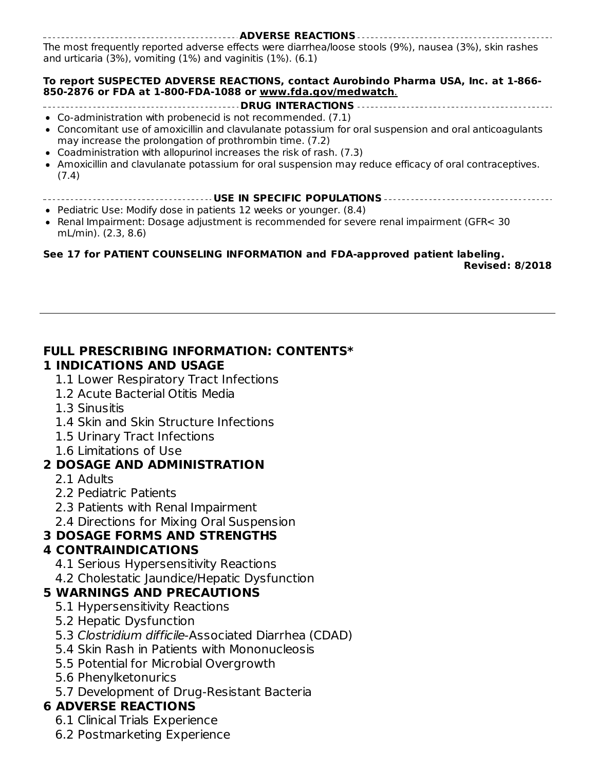**ADVERSE REACTIONS** The most frequently reported adverse effects were diarrhea/loose stools (9%), nausea (3%), skin rashes and urticaria (3%), vomiting (1%) and vaginitis (1%). (6.1)

#### **To report SUSPECTED ADVERSE REACTIONS, contact Aurobindo Pharma USA, Inc. at 1-866- 850-2876 or FDA at 1-800-FDA-1088 or www.fda.gov/medwatch**.

#### **DRUG INTERACTIONS**

- Co-administration with probenecid is not recommended. (7.1)
- Concomitant use of amoxicillin and clavulanate potassium for oral suspension and oral anticoagulants may increase the prolongation of prothrombin time. (7.2)
- Coadministration with allopurinol increases the risk of rash. (7.3)
- Amoxicillin and clavulanate potassium for oral suspension may reduce efficacy of oral contraceptives. (7.4)
- **USE IN SPECIFIC POPULATIONS**
- Pediatric Use: Modify dose in patients 12 weeks or younger.  $(8.4)$
- Renal Impairment: Dosage adjustment is recommended for severe renal impairment (GFR< 30 mL/min). (2.3, 8.6)

### **See 17 for PATIENT COUNSELING INFORMATION and FDA-approved patient labeling.**

**Revised: 8/2018**

#### **FULL PRESCRIBING INFORMATION: CONTENTS\* 1 INDICATIONS AND USAGE**

- 1.1 Lower Respiratory Tract Infections
- 1.2 Acute Bacterial Otitis Media
- 1.3 Sinusitis
- 1.4 Skin and Skin Structure Infections
- 1.5 Urinary Tract Infections
- 1.6 Limitations of Use

#### **2 DOSAGE AND ADMINISTRATION**

- 2.1 Adults
- 2.2 Pediatric Patients
- 2.3 Patients with Renal Impairment
- 2.4 Directions for Mixing Oral Suspension

### **3 DOSAGE FORMS AND STRENGTHS**

### **4 CONTRAINDICATIONS**

- 4.1 Serious Hypersensitivity Reactions
- 4.2 Cholestatic Jaundice/Hepatic Dysfunction

#### **5 WARNINGS AND PRECAUTIONS**

- 5.1 Hypersensitivity Reactions
- 5.2 Hepatic Dysfunction
- 5.3 Clostridium difficile-Associated Diarrhea (CDAD)
- 5.4 Skin Rash in Patients with Mononucleosis
- 5.5 Potential for Microbial Overgrowth
- 5.6 Phenylketonurics
- 5.7 Development of Drug-Resistant Bacteria

### **6 ADVERSE REACTIONS**

- 6.1 Clinical Trials Experience
- 6.2 Postmarketing Experience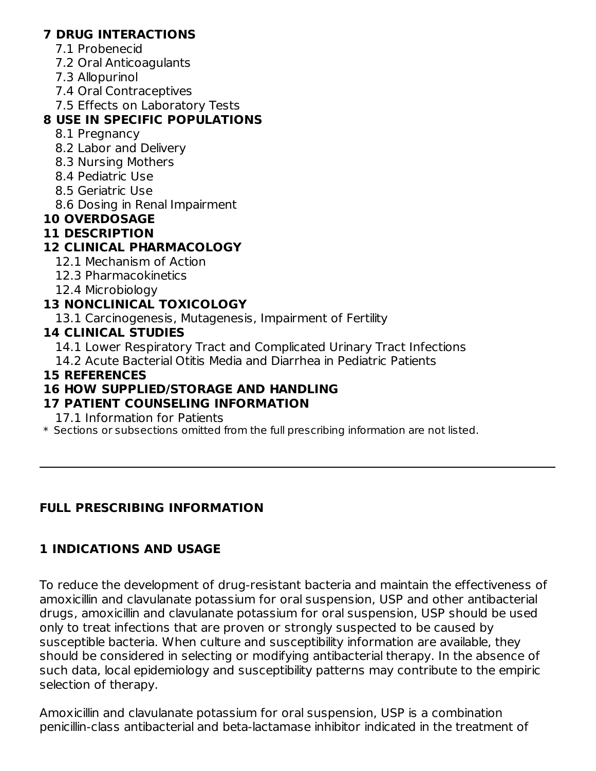#### **7 DRUG INTERACTIONS**

- 7.1 Probenecid
- 7.2 Oral Anticoagulants
- 7.3 Allopurinol
- 7.4 Oral Contraceptives
- 7.5 Effects on Laboratory Tests

# **8 USE IN SPECIFIC POPULATIONS**

- 8.1 Pregnancy
- 8.2 Labor and Delivery
- 8.3 Nursing Mothers
- 8.4 Pediatric Use
- 8.5 Geriatric Use
- 8.6 Dosing in Renal Impairment

## **10 OVERDOSAGE**

### **11 DESCRIPTION**

## **12 CLINICAL PHARMACOLOGY**

- 12.1 Mechanism of Action
- 12.3 Pharmacokinetics
- 12.4 Microbiology

## **13 NONCLINICAL TOXICOLOGY**

13.1 Carcinogenesis, Mutagenesis, Impairment of Fertility

### **14 CLINICAL STUDIES**

- 14.1 Lower Respiratory Tract and Complicated Urinary Tract Infections
- 14.2 Acute Bacterial Otitis Media and Diarrhea in Pediatric Patients

### **15 REFERENCES**

### **16 HOW SUPPLIED/STORAGE AND HANDLING**

## **17 PATIENT COUNSELING INFORMATION**

17.1 Information for Patients

\* Sections or subsections omitted from the full prescribing information are not listed.

## **FULL PRESCRIBING INFORMATION**

## **1 INDICATIONS AND USAGE**

To reduce the development of drug-resistant bacteria and maintain the effectiveness of amoxicillin and clavulanate potassium for oral suspension, USP and other antibacterial drugs, amoxicillin and clavulanate potassium for oral suspension, USP should be used only to treat infections that are proven or strongly suspected to be caused by susceptible bacteria. When culture and susceptibility information are available, they should be considered in selecting or modifying antibacterial therapy. In the absence of such data, local epidemiology and susceptibility patterns may contribute to the empiric selection of therapy.

Amoxicillin and clavulanate potassium for oral suspension, USP is a combination penicillin-class antibacterial and beta-lactamase inhibitor indicated in the treatment of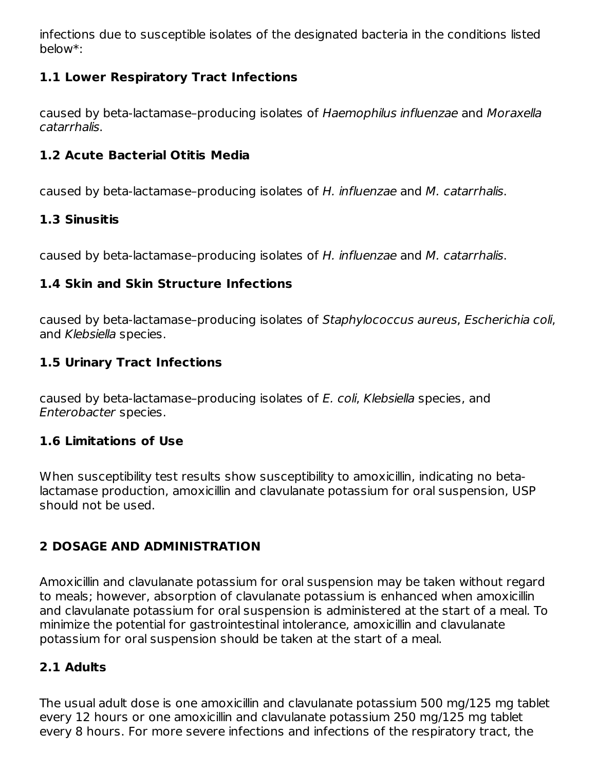infections due to susceptible isolates of the designated bacteria in the conditions listed below\*:

### **1.1 Lower Respiratory Tract Infections**

caused by beta-lactamase–producing isolates of Haemophilus influenzae and Moraxella catarrhalis.

### **1.2 Acute Bacterial Otitis Media**

caused by beta-lactamase–producing isolates of H. influenzae and M. catarrhalis.

### **1.3 Sinusitis**

caused by beta-lactamase–producing isolates of H. influenzae and M. catarrhalis.

### **1.4 Skin and Skin Structure Infections**

caused by beta-lactamase–producing isolates of Staphylococcus aureus, Escherichia coli, and Klebsiella species.

### **1.5 Urinary Tract Infections**

caused by beta-lactamase–producing isolates of E. coli, Klebsiella species, and Enterobacter species.

#### **1.6 Limitations of Use**

When susceptibility test results show susceptibility to amoxicillin, indicating no betalactamase production, amoxicillin and clavulanate potassium for oral suspension, USP should not be used.

### **2 DOSAGE AND ADMINISTRATION**

Amoxicillin and clavulanate potassium for oral suspension may be taken without regard to meals; however, absorption of clavulanate potassium is enhanced when amoxicillin and clavulanate potassium for oral suspension is administered at the start of a meal. To minimize the potential for gastrointestinal intolerance, amoxicillin and clavulanate potassium for oral suspension should be taken at the start of a meal.

### **2.1 Adults**

The usual adult dose is one amoxicillin and clavulanate potassium 500 mg/125 mg tablet every 12 hours or one amoxicillin and clavulanate potassium 250 mg/125 mg tablet every 8 hours. For more severe infections and infections of the respiratory tract, the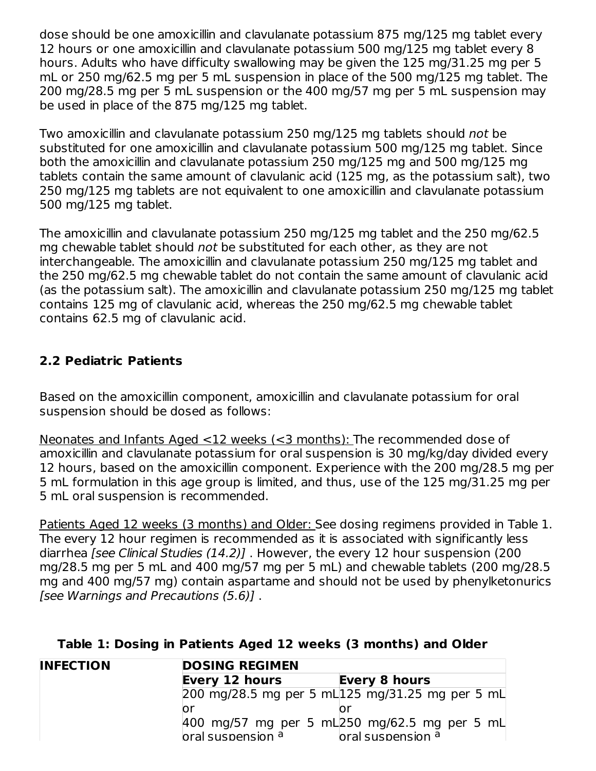dose should be one amoxicillin and clavulanate potassium 875 mg/125 mg tablet every 12 hours or one amoxicillin and clavulanate potassium 500 mg/125 mg tablet every 8 hours. Adults who have difficulty swallowing may be given the 125 mg/31.25 mg per 5 mL or 250 mg/62.5 mg per 5 mL suspension in place of the 500 mg/125 mg tablet. The 200 mg/28.5 mg per 5 mL suspension or the 400 mg/57 mg per 5 mL suspension may be used in place of the 875 mg/125 mg tablet.

Two amoxicillin and clavulanate potassium 250 mg/125 mg tablets should not be substituted for one amoxicillin and clavulanate potassium 500 mg/125 mg tablet. Since both the amoxicillin and clavulanate potassium 250 mg/125 mg and 500 mg/125 mg tablets contain the same amount of clavulanic acid (125 mg, as the potassium salt), two 250 mg/125 mg tablets are not equivalent to one amoxicillin and clavulanate potassium 500 mg/125 mg tablet.

The amoxicillin and clavulanate potassium 250 mg/125 mg tablet and the 250 mg/62.5 mg chewable tablet should not be substituted for each other, as they are not interchangeable. The amoxicillin and clavulanate potassium 250 mg/125 mg tablet and the 250 mg/62.5 mg chewable tablet do not contain the same amount of clavulanic acid (as the potassium salt). The amoxicillin and clavulanate potassium 250 mg/125 mg tablet contains 125 mg of clavulanic acid, whereas the 250 mg/62.5 mg chewable tablet contains 62.5 mg of clavulanic acid.

### **2.2 Pediatric Patients**

Based on the amoxicillin component, amoxicillin and clavulanate potassium for oral suspension should be dosed as follows:

Neonates and Infants Aged <12 weeks (<3 months): The recommended dose of amoxicillin and clavulanate potassium for oral suspension is 30 mg/kg/day divided every 12 hours, based on the amoxicillin component. Experience with the 200 mg/28.5 mg per 5 mL formulation in this age group is limited, and thus, use of the 125 mg/31.25 mg per 5 mL oral suspension is recommended.

Patients Aged 12 weeks (3 months) and Older: See dosing regimens provided in Table 1. The every 12 hour regimen is recommended as it is associated with significantly less diarrhea [see Clinical Studies (14.2)] . However, the every 12 hour suspension (200 mg/28.5 mg per 5 mL and 400 mg/57 mg per 5 mL) and chewable tablets (200 mg/28.5 mg and 400 mg/57 mg) contain aspartame and should not be used by phenylketonurics [see Warnings and Precautions (5.6)] .

#### **Table 1: Dosing in Patients Aged 12 weeks (3 months) and Older**

| <b>INFECTION</b>                              | <b>DOSING REGIMEN</b>                                                                              |  |  |  |  |
|-----------------------------------------------|----------------------------------------------------------------------------------------------------|--|--|--|--|
| <b>Every 12 hours</b><br><b>Every 8 hours</b> |                                                                                                    |  |  |  |  |
|                                               | 200 mg/28.5 mg per 5 mL 125 mg/31.25 mg per 5 mL                                                   |  |  |  |  |
|                                               | or                                                                                                 |  |  |  |  |
|                                               | 400 mg/57 mg per 5 mL250 mg/62.5 mg per 5 mL<br>oral suspension a<br>loral suspension <sup>a</sup> |  |  |  |  |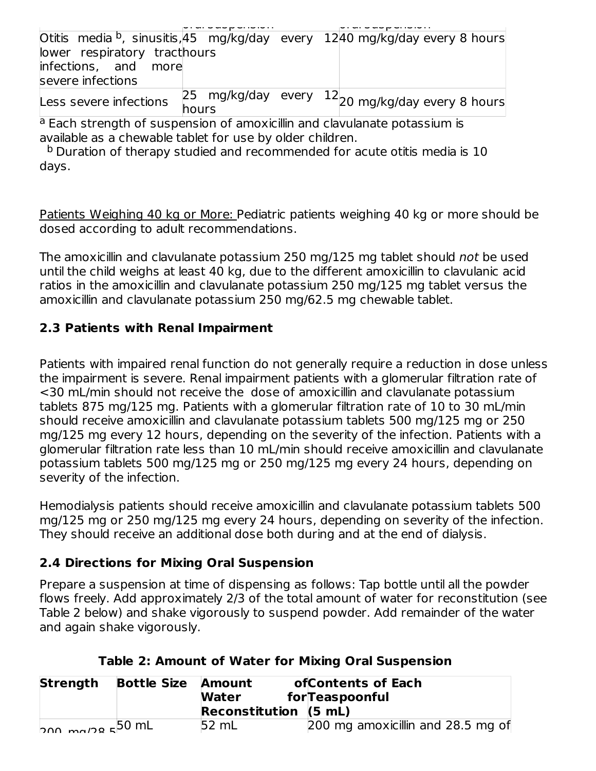| Otitis media <sup>b</sup> , sinusitis, 45 mg/kg/day every 1240 mg/kg/day every 8 hours |                    |   |                                    |  |
|----------------------------------------------------------------------------------------|--------------------|---|------------------------------------|--|
| lower respiratory tracthours                                                           |                    |   |                                    |  |
| infections, and more                                                                   |                    |   |                                    |  |
| severe infections                                                                      |                    |   |                                    |  |
| Less severe infections                                                                 | 25 mg/kg/day every |   | $^{12}$ 20 mg/kg/day every 8 hours |  |
|                                                                                        | hours              |   |                                    |  |
| . .                                                                                    |                    | . |                                    |  |

<sup>a</sup> Each strength of suspension of amoxicillin and clavulanate potassium is available as a chewable tablet for use by older children.

 $^{\text{b}}$  Duration of therapy studied and recommended for acute otitis media is 10 days.

Patients Weighing 40 kg or More: Pediatric patients weighing 40 kg or more should be dosed according to adult recommendations.

The amoxicillin and clavulanate potassium 250 mg/125 mg tablet should not be used until the child weighs at least 40 kg, due to the different amoxicillin to clavulanic acid ratios in the amoxicillin and clavulanate potassium 250 mg/125 mg tablet versus the amoxicillin and clavulanate potassium 250 mg/62.5 mg chewable tablet.

### **2.3 Patients with Renal Impairment**

Patients with impaired renal function do not generally require a reduction in dose unless the impairment is severe. Renal impairment patients with a glomerular filtration rate of <30 mL/min should not receive the dose of amoxicillin and clavulanate potassium tablets 875 mg/125 mg. Patients with a glomerular filtration rate of 10 to 30 mL/min should receive amoxicillin and clavulanate potassium tablets 500 mg/125 mg or 250 mg/125 mg every 12 hours, depending on the severity of the infection. Patients with a glomerular filtration rate less than 10 mL/min should receive amoxicillin and clavulanate potassium tablets 500 mg/125 mg or 250 mg/125 mg every 24 hours, depending on severity of the infection.

Hemodialysis patients should receive amoxicillin and clavulanate potassium tablets 500 mg/125 mg or 250 mg/125 mg every 24 hours, depending on severity of the infection. They should receive an additional dose both during and at the end of dialysis.

### **2.4 Directions for Mixing Oral Suspension**

Prepare a suspension at time of dispensing as follows: Tap bottle until all the powder flows freely. Add approximately 2/3 of the total amount of water for reconstitution (see Table 2 below) and shake vigorously to suspend powder. Add remainder of the water and again shake vigorously.

| <b>Strength</b> | <b>Bottle Size</b> | Amount<br>Water<br>Reconstitution $(5 mL)$ | ofContents of Each<br>forTeaspoonful |
|-----------------|--------------------|--------------------------------------------|--------------------------------------|
| $b$ חמ $50$ m   |                    | $52 \text{ mL}$                            | 200 mg amoxicillin and 28.5 mg of    |

### **Table 2: Amount of Water for Mixing Oral Suspension**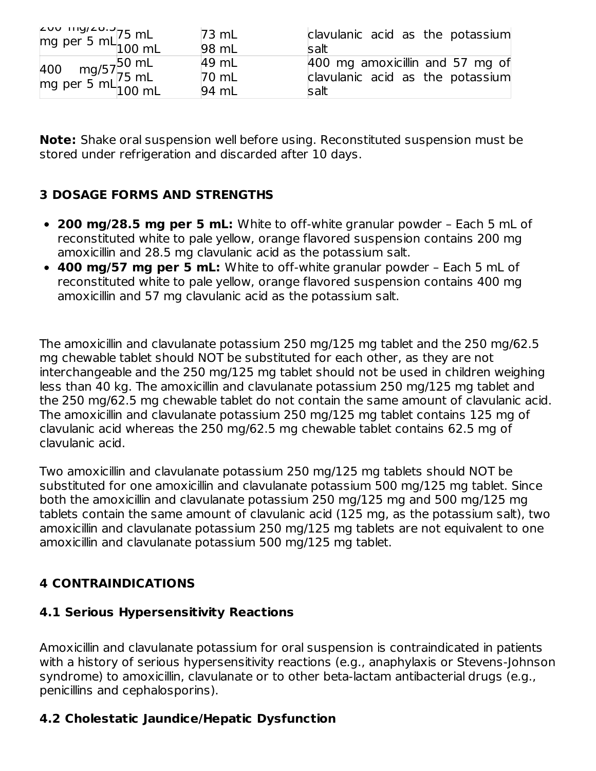| $\begin{bmatrix} 200 & 119/20.3 \\ \text{mg per 5 mL} & 100 \text{ mL} \end{bmatrix}$ | $73 \text{ mL}$ | clavulanic acid as the potassium |
|---------------------------------------------------------------------------------------|-----------------|----------------------------------|
|                                                                                       | 98 mL           | salt                             |
|                                                                                       | 49 mL           | 400 mg amoxicillin and 57 mg of  |
| 400 mg/57 <sup>50 mL</sup><br>mg per 5 mL <sup>75 mL</sup>                            | $70 \text{ mL}$ | clavulanic acid as the potassium |
|                                                                                       | 94 mL           | salt                             |

**Note:** Shake oral suspension well before using. Reconstituted suspension must be stored under refrigeration and discarded after 10 days.

### **3 DOSAGE FORMS AND STRENGTHS**

- **200 mg/28.5 mg per 5 mL:** White to off-white granular powder Each 5 mL of reconstituted white to pale yellow, orange flavored suspension contains 200 mg amoxicillin and 28.5 mg clavulanic acid as the potassium salt.
- **400 mg/57 mg per 5 mL:** White to off-white granular powder Each 5 mL of reconstituted white to pale yellow, orange flavored suspension contains 400 mg amoxicillin and 57 mg clavulanic acid as the potassium salt.

The amoxicillin and clavulanate potassium 250 mg/125 mg tablet and the 250 mg/62.5 mg chewable tablet should NOT be substituted for each other, as they are not interchangeable and the 250 mg/125 mg tablet should not be used in children weighing less than 40 kg. The amoxicillin and clavulanate potassium 250 mg/125 mg tablet and the 250 mg/62.5 mg chewable tablet do not contain the same amount of clavulanic acid. The amoxicillin and clavulanate potassium 250 mg/125 mg tablet contains 125 mg of clavulanic acid whereas the 250 mg/62.5 mg chewable tablet contains 62.5 mg of clavulanic acid.

Two amoxicillin and clavulanate potassium 250 mg/125 mg tablets should NOT be substituted for one amoxicillin and clavulanate potassium 500 mg/125 mg tablet. Since both the amoxicillin and clavulanate potassium 250 mg/125 mg and 500 mg/125 mg tablets contain the same amount of clavulanic acid (125 mg, as the potassium salt), two amoxicillin and clavulanate potassium 250 mg/125 mg tablets are not equivalent to one amoxicillin and clavulanate potassium 500 mg/125 mg tablet.

## **4 CONTRAINDICATIONS**

### **4.1 Serious Hypersensitivity Reactions**

Amoxicillin and clavulanate potassium for oral suspension is contraindicated in patients with a history of serious hypersensitivity reactions (e.g., anaphylaxis or Stevens-Johnson syndrome) to amoxicillin, clavulanate or to other beta-lactam antibacterial drugs (e.g., penicillins and cephalosporins).

## **4.2 Cholestatic Jaundice/Hepatic Dysfunction**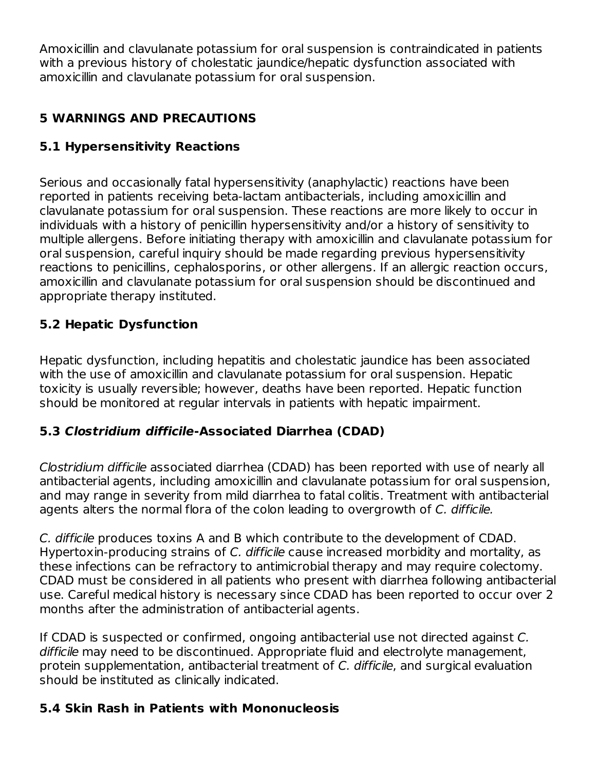Amoxicillin and clavulanate potassium for oral suspension is contraindicated in patients with a previous history of cholestatic jaundice/hepatic dysfunction associated with amoxicillin and clavulanate potassium for oral suspension.

## **5 WARNINGS AND PRECAUTIONS**

### **5.1 Hypersensitivity Reactions**

Serious and occasionally fatal hypersensitivity (anaphylactic) reactions have been reported in patients receiving beta-lactam antibacterials, including amoxicillin and clavulanate potassium for oral suspension. These reactions are more likely to occur in individuals with a history of penicillin hypersensitivity and/or a history of sensitivity to multiple allergens. Before initiating therapy with amoxicillin and clavulanate potassium for oral suspension, careful inquiry should be made regarding previous hypersensitivity reactions to penicillins, cephalosporins, or other allergens. If an allergic reaction occurs, amoxicillin and clavulanate potassium for oral suspension should be discontinued and appropriate therapy instituted.

### **5.2 Hepatic Dysfunction**

Hepatic dysfunction, including hepatitis and cholestatic jaundice has been associated with the use of amoxicillin and clavulanate potassium for oral suspension. Hepatic toxicity is usually reversible; however, deaths have been reported. Hepatic function should be monitored at regular intervals in patients with hepatic impairment.

#### **5.3 Clostridium difficile-Associated Diarrhea (CDAD)**

Clostridium difficile associated diarrhea (CDAD) has been reported with use of nearly all antibacterial agents, including amoxicillin and clavulanate potassium for oral suspension, and may range in severity from mild diarrhea to fatal colitis. Treatment with antibacterial agents alters the normal flora of the colon leading to overgrowth of C. difficile.

C. difficile produces toxins A and B which contribute to the development of CDAD. Hypertoxin-producing strains of C. difficile cause increased morbidity and mortality, as these infections can be refractory to antimicrobial therapy and may require colectomy. CDAD must be considered in all patients who present with diarrhea following antibacterial use. Careful medical history is necessary since CDAD has been reported to occur over 2 months after the administration of antibacterial agents.

If CDAD is suspected or confirmed, ongoing antibacterial use not directed against C. difficile may need to be discontinued. Appropriate fluid and electrolyte management, protein supplementation, antibacterial treatment of C. difficile, and surgical evaluation should be instituted as clinically indicated.

### **5.4 Skin Rash in Patients with Mononucleosis**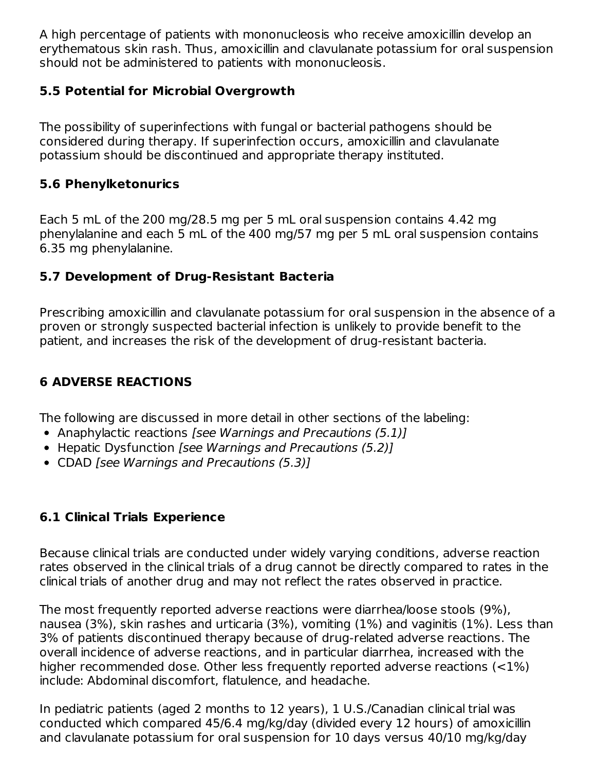A high percentage of patients with mononucleosis who receive amoxicillin develop an erythematous skin rash. Thus, amoxicillin and clavulanate potassium for oral suspension should not be administered to patients with mononucleosis.

### **5.5 Potential for Microbial Overgrowth**

The possibility of superinfections with fungal or bacterial pathogens should be considered during therapy. If superinfection occurs, amoxicillin and clavulanate potassium should be discontinued and appropriate therapy instituted.

#### **5.6 Phenylketonurics**

Each 5 mL of the 200 mg/28.5 mg per 5 mL oral suspension contains 4.42 mg phenylalanine and each 5 mL of the 400 mg/57 mg per 5 mL oral suspension contains 6.35 mg phenylalanine.

### **5.7 Development of Drug-Resistant Bacteria**

Prescribing amoxicillin and clavulanate potassium for oral suspension in the absence of a proven or strongly suspected bacterial infection is unlikely to provide benefit to the patient, and increases the risk of the development of drug-resistant bacteria.

### **6 ADVERSE REACTIONS**

The following are discussed in more detail in other sections of the labeling:

- Anaphylactic reactions [see Warnings and Precautions (5.1)]
- Hepatic Dysfunction [see Warnings and Precautions (5.2)]
- CDAD [see Warnings and Precautions (5.3)]

#### **6.1 Clinical Trials Experience**

Because clinical trials are conducted under widely varying conditions, adverse reaction rates observed in the clinical trials of a drug cannot be directly compared to rates in the clinical trials of another drug and may not reflect the rates observed in practice.

The most frequently reported adverse reactions were diarrhea/loose stools (9%), nausea (3%), skin rashes and urticaria (3%), vomiting (1%) and vaginitis (1%). Less than 3% of patients discontinued therapy because of drug-related adverse reactions. The overall incidence of adverse reactions, and in particular diarrhea, increased with the higher recommended dose. Other less frequently reported adverse reactions (<1%) include: Abdominal discomfort, flatulence, and headache.

In pediatric patients (aged 2 months to 12 years), 1 U.S./Canadian clinical trial was conducted which compared 45/6.4 mg/kg/day (divided every 12 hours) of amoxicillin and clavulanate potassium for oral suspension for 10 days versus 40/10 mg/kg/day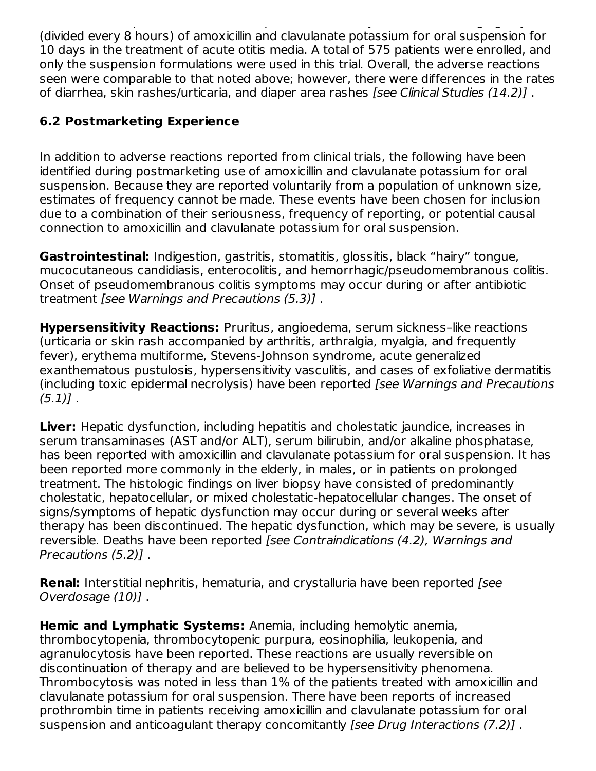and clavulanate potassium for oral suspension for 10 days versus 40/10 mg/kg/day (divided every 8 hours) of amoxicillin and clavulanate potassium for oral suspension for 10 days in the treatment of acute otitis media. A total of 575 patients were enrolled, and only the suspension formulations were used in this trial. Overall, the adverse reactions seen were comparable to that noted above; however, there were differences in the rates of diarrhea, skin rashes/urticaria, and diaper area rashes [see Clinical Studies (14.2)].

### **6.2 Postmarketing Experience**

In addition to adverse reactions reported from clinical trials, the following have been identified during postmarketing use of amoxicillin and clavulanate potassium for oral suspension. Because they are reported voluntarily from a population of unknown size, estimates of frequency cannot be made. These events have been chosen for inclusion due to a combination of their seriousness, frequency of reporting, or potential causal connection to amoxicillin and clavulanate potassium for oral suspension.

**Gastrointestinal:** Indigestion, gastritis, stomatitis, glossitis, black "hairy" tongue, mucocutaneous candidiasis, enterocolitis, and hemorrhagic/pseudomembranous colitis. Onset of pseudomembranous colitis symptoms may occur during or after antibiotic treatment [see Warnings and Precautions (5.3)] .

**Hypersensitivity Reactions:** Pruritus, angioedema, serum sickness–like reactions (urticaria or skin rash accompanied by arthritis, arthralgia, myalgia, and frequently fever), erythema multiforme, Stevens-Johnson syndrome, acute generalized exanthematous pustulosis, hypersensitivity vasculitis, and cases of exfoliative dermatitis (including toxic epidermal necrolysis) have been reported [see Warnings and Precautions  $(5.1)$ .

**Liver:** Hepatic dysfunction, including hepatitis and cholestatic jaundice, increases in serum transaminases (AST and/or ALT), serum bilirubin, and/or alkaline phosphatase, has been reported with amoxicillin and clavulanate potassium for oral suspension. It has been reported more commonly in the elderly, in males, or in patients on prolonged treatment. The histologic findings on liver biopsy have consisted of predominantly cholestatic, hepatocellular, or mixed cholestatic-hepatocellular changes. The onset of signs/symptoms of hepatic dysfunction may occur during or several weeks after therapy has been discontinued. The hepatic dysfunction, which may be severe, is usually reversible. Deaths have been reported [see Contraindications (4.2), Warnings and Precautions (5.2)] .

**Renal:** Interstitial nephritis, hematuria, and crystalluria have been reported [see Overdosage (10)] .

**Hemic and Lymphatic Systems:** Anemia, including hemolytic anemia, thrombocytopenia, thrombocytopenic purpura, eosinophilia, leukopenia, and agranulocytosis have been reported. These reactions are usually reversible on discontinuation of therapy and are believed to be hypersensitivity phenomena. Thrombocytosis was noted in less than 1% of the patients treated with amoxicillin and clavulanate potassium for oral suspension. There have been reports of increased prothrombin time in patients receiving amoxicillin and clavulanate potassium for oral suspension and anticoagulant therapy concomitantly [see Drug Interactions (7.2)].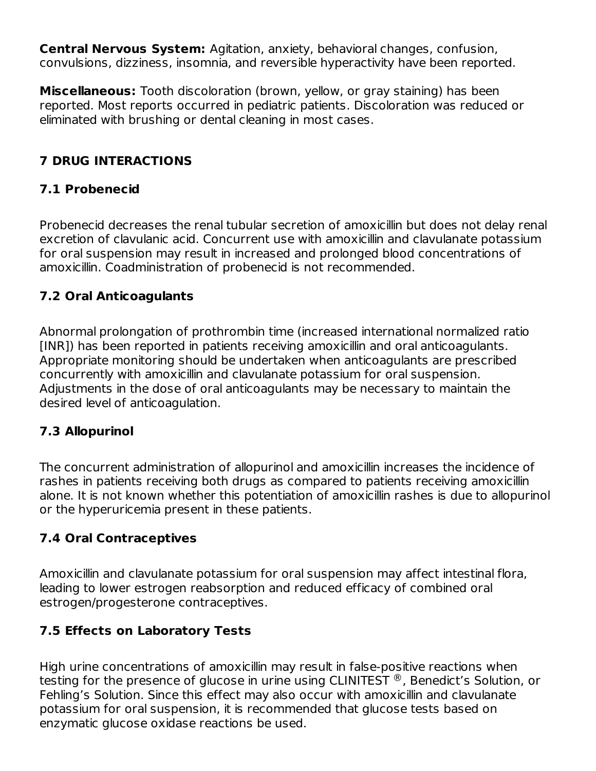**Central Nervous System:** Agitation, anxiety, behavioral changes, confusion, convulsions, dizziness, insomnia, and reversible hyperactivity have been reported.

**Miscellaneous:** Tooth discoloration (brown, yellow, or gray staining) has been reported. Most reports occurred in pediatric patients. Discoloration was reduced or eliminated with brushing or dental cleaning in most cases.

## **7 DRUG INTERACTIONS**

### **7.1 Probenecid**

Probenecid decreases the renal tubular secretion of amoxicillin but does not delay renal excretion of clavulanic acid. Concurrent use with amoxicillin and clavulanate potassium for oral suspension may result in increased and prolonged blood concentrations of amoxicillin. Coadministration of probenecid is not recommended.

### **7.2 Oral Anticoagulants**

Abnormal prolongation of prothrombin time (increased international normalized ratio [INR]) has been reported in patients receiving amoxicillin and oral anticoagulants. Appropriate monitoring should be undertaken when anticoagulants are prescribed concurrently with amoxicillin and clavulanate potassium for oral suspension. Adjustments in the dose of oral anticoagulants may be necessary to maintain the desired level of anticoagulation.

### **7.3 Allopurinol**

The concurrent administration of allopurinol and amoxicillin increases the incidence of rashes in patients receiving both drugs as compared to patients receiving amoxicillin alone. It is not known whether this potentiation of amoxicillin rashes is due to allopurinol or the hyperuricemia present in these patients.

## **7.4 Oral Contraceptives**

Amoxicillin and clavulanate potassium for oral suspension may affect intestinal flora, leading to lower estrogen reabsorption and reduced efficacy of combined oral estrogen/progesterone contraceptives.

### **7.5 Effects on Laboratory Tests**

High urine concentrations of amoxicillin may result in false-positive reactions when testing for the presence of glucose in urine using CLINITEST  $^\circledR$  , Benedict's Solution, or Fehling's Solution. Since this effect may also occur with amoxicillin and clavulanate potassium for oral suspension, it is recommended that glucose tests based on enzymatic glucose oxidase reactions be used.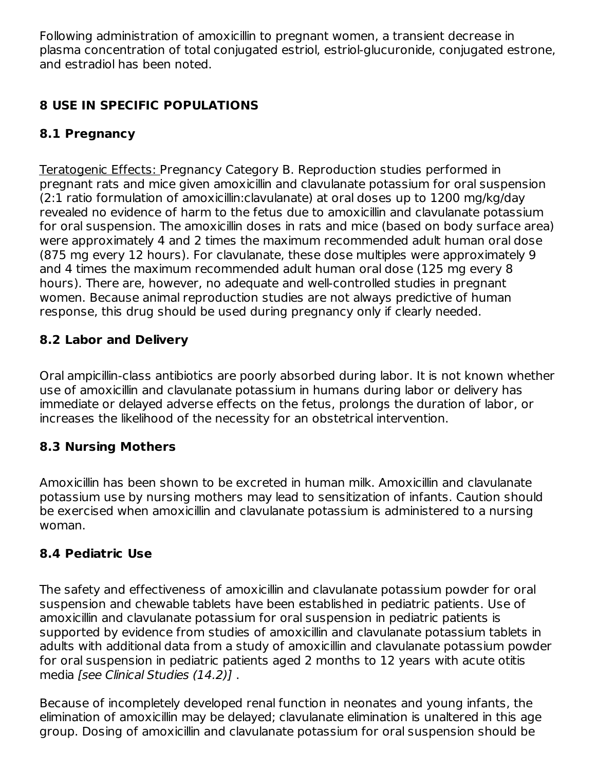Following administration of amoxicillin to pregnant women, a transient decrease in plasma concentration of total conjugated estriol, estriol-glucuronide, conjugated estrone, and estradiol has been noted.

## **8 USE IN SPECIFIC POPULATIONS**

### **8.1 Pregnancy**

Teratogenic Effects: Pregnancy Category B. Reproduction studies performed in pregnant rats and mice given amoxicillin and clavulanate potassium for oral suspension (2:1 ratio formulation of amoxicillin:clavulanate) at oral doses up to 1200 mg/kg/day revealed no evidence of harm to the fetus due to amoxicillin and clavulanate potassium for oral suspension. The amoxicillin doses in rats and mice (based on body surface area) were approximately 4 and 2 times the maximum recommended adult human oral dose (875 mg every 12 hours). For clavulanate, these dose multiples were approximately 9 and 4 times the maximum recommended adult human oral dose (125 mg every 8 hours). There are, however, no adequate and well-controlled studies in pregnant women. Because animal reproduction studies are not always predictive of human response, this drug should be used during pregnancy only if clearly needed.

### **8.2 Labor and Delivery**

Oral ampicillin-class antibiotics are poorly absorbed during labor. It is not known whether use of amoxicillin and clavulanate potassium in humans during labor or delivery has immediate or delayed adverse effects on the fetus, prolongs the duration of labor, or increases the likelihood of the necessity for an obstetrical intervention.

#### **8.3 Nursing Mothers**

Amoxicillin has been shown to be excreted in human milk. Amoxicillin and clavulanate potassium use by nursing mothers may lead to sensitization of infants. Caution should be exercised when amoxicillin and clavulanate potassium is administered to a nursing woman.

#### **8.4 Pediatric Use**

The safety and effectiveness of amoxicillin and clavulanate potassium powder for oral suspension and chewable tablets have been established in pediatric patients. Use of amoxicillin and clavulanate potassium for oral suspension in pediatric patients is supported by evidence from studies of amoxicillin and clavulanate potassium tablets in adults with additional data from a study of amoxicillin and clavulanate potassium powder for oral suspension in pediatric patients aged 2 months to 12 years with acute otitis media [see Clinical Studies (14.2)].

Because of incompletely developed renal function in neonates and young infants, the elimination of amoxicillin may be delayed; clavulanate elimination is unaltered in this age group. Dosing of amoxicillin and clavulanate potassium for oral suspension should be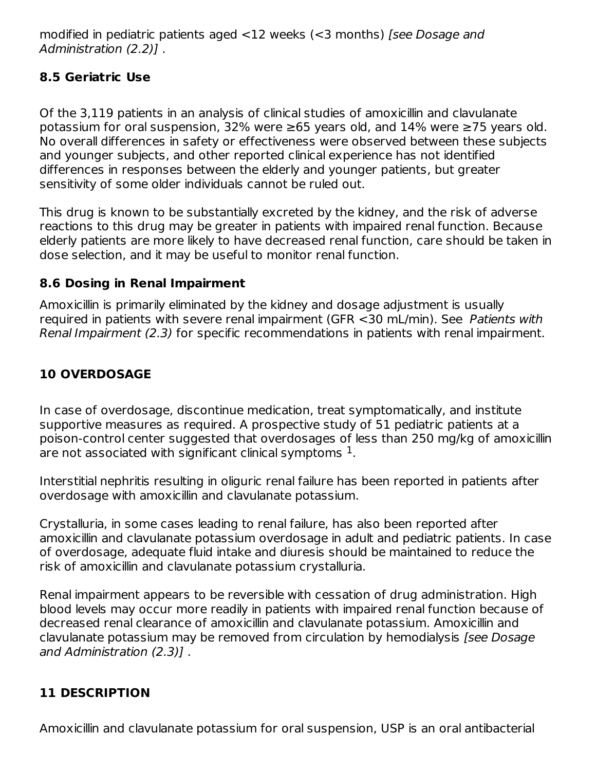modified in pediatric patients aged <12 weeks (<3 months) [see Dosage and Administration (2.2)] .

### **8.5 Geriatric Use**

Of the 3,119 patients in an analysis of clinical studies of amoxicillin and clavulanate potassium for oral suspension, 32% were ≥65 years old, and 14% were ≥75 years old. No overall differences in safety or effectiveness were observed between these subjects and younger subjects, and other reported clinical experience has not identified differences in responses between the elderly and younger patients, but greater sensitivity of some older individuals cannot be ruled out.

This drug is known to be substantially excreted by the kidney, and the risk of adverse reactions to this drug may be greater in patients with impaired renal function. Because elderly patients are more likely to have decreased renal function, care should be taken in dose selection, and it may be useful to monitor renal function.

### **8.6 Dosing in Renal Impairment**

Amoxicillin is primarily eliminated by the kidney and dosage adjustment is usually required in patients with severe renal impairment (GFR <30 mL/min). See Patients with Renal Impairment (2.3) for specific recommendations in patients with renal impairment.

### **10 OVERDOSAGE**

In case of overdosage, discontinue medication, treat symptomatically, and institute supportive measures as required. A prospective study of 51 pediatric patients at a poison-control center suggested that overdosages of less than 250 mg/kg of amoxicillin are not associated with significant clinical symptoms  $^{\rm 1}.$ 

Interstitial nephritis resulting in oliguric renal failure has been reported in patients after overdosage with amoxicillin and clavulanate potassium.

Crystalluria, in some cases leading to renal failure, has also been reported after amoxicillin and clavulanate potassium overdosage in adult and pediatric patients. In case of overdosage, adequate fluid intake and diuresis should be maintained to reduce the risk of amoxicillin and clavulanate potassium crystalluria.

Renal impairment appears to be reversible with cessation of drug administration. High blood levels may occur more readily in patients with impaired renal function because of decreased renal clearance of amoxicillin and clavulanate potassium. Amoxicillin and clavulanate potassium may be removed from circulation by hemodialysis [see Dosage and Administration (2.3)] .

#### **11 DESCRIPTION**

Amoxicillin and clavulanate potassium for oral suspension, USP is an oral antibacterial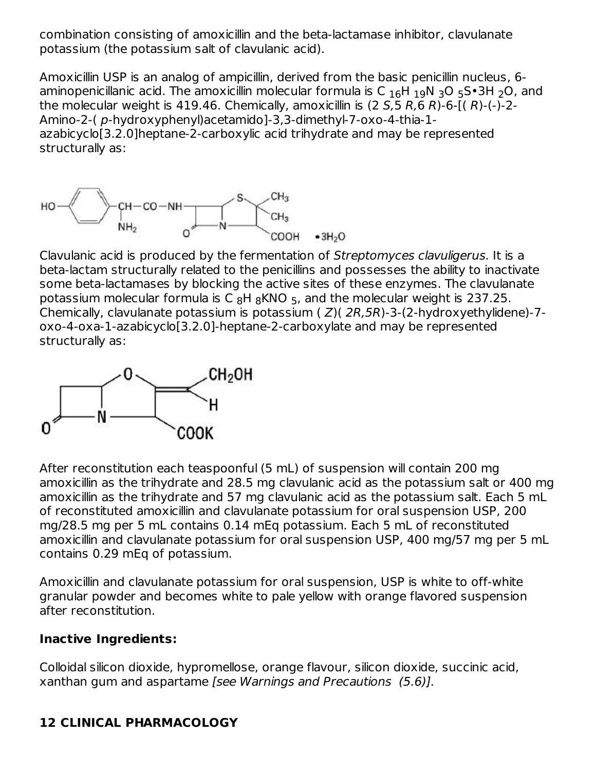combination consisting of amoxicillin and the beta-lactamase inhibitor, clavulanate potassium (the potassium salt of clavulanic acid).

Amoxicillin USP is an analog of ampicillin, derived from the basic penicillin nucleus, 6 aminopenicillanic acid. The amoxicillin molecular formula is C  $_{16}$ H  $_{19}$ N  $_{3}$ O  $_{5}$ S $\bullet$ 3H  $_{2}$ O, and the molecular weight is 419.46. Chemically, amoxicillin is  $(2 5.5 R.6 R)$ -6- $(1 R)$ - $($ - $)$ -2-Amino-2-( p-hydroxyphenyl)acetamido]-3,3-dimethyl-7-oxo-4-thia-1 azabicyclo[3.2.0]heptane-2-carboxylic acid trihydrate and may be represented structurally as:



Clavulanic acid is produced by the fermentation of Streptomyces clavuligerus. It is a beta-lactam structurally related to the penicillins and possesses the ability to inactivate some beta-lactamases by blocking the active sites of these enzymes. The clavulanate potassium molecular formula is C  $_8H$   $_8$ KNO  $_5$ , and the molecular weight is 237.25. Chemically, clavulanate potassium is potassium ( Z)( 2R,5R)-3-(2-hydroxyethylidene)-7 oxo-4-oxa-1-azabicyclo[3.2.0]-heptane-2-carboxylate and may be represented structurally as:



After reconstitution each teaspoonful (5 mL) of suspension will contain 200 mg amoxicillin as the trihydrate and 28.5 mg clavulanic acid as the potassium salt or 400 mg amoxicillin as the trihydrate and 57 mg clavulanic acid as the potassium salt. Each 5 mL of reconstituted amoxicillin and clavulanate potassium for oral suspension USP, 200 mg/28.5 mg per 5 mL contains 0.14 mEq potassium. Each 5 mL of reconstituted amoxicillin and clavulanate potassium for oral suspension USP, 400 mg/57 mg per 5 mL contains 0.29 mEq of potassium.

Amoxicillin and clavulanate potassium for oral suspension, USP is white to off-white granular powder and becomes white to pale yellow with orange flavored suspension after reconstitution.

#### **Inactive Ingredients:**

Colloidal silicon dioxide, hypromellose, orange flavour, silicon dioxide, succinic acid, xanthan gum and aspartame [see Warnings and Precautions (5.6)].

### **12 CLINICAL PHARMACOLOGY**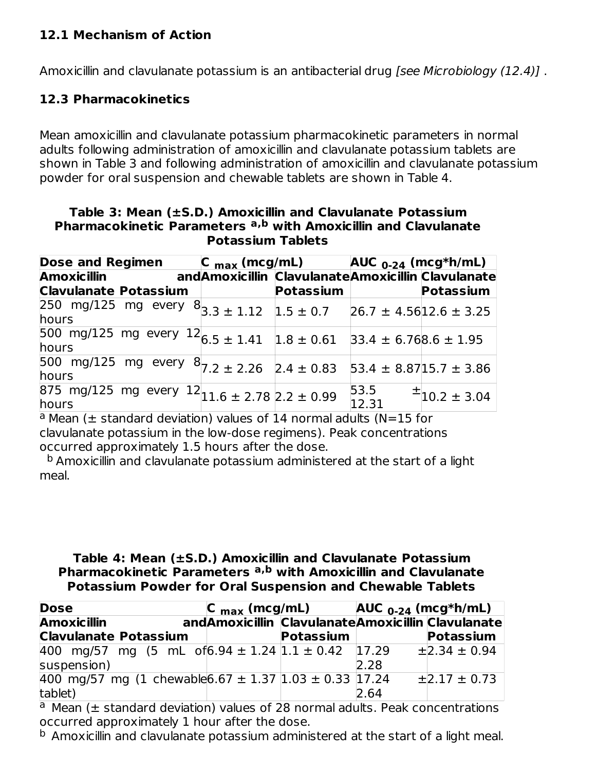### **12.1 Mechanism of Action**

Amoxicillin and clavulanate potassium is an antibacterial drug *[see Microbiology (12.4)]*.

#### **12.3 Pharmacokinetics**

Mean amoxicillin and clavulanate potassium pharmacokinetic parameters in normal adults following administration of amoxicillin and clavulanate potassium tablets are shown in Table 3 and following administration of amoxicillin and clavulanate potassium powder for oral suspension and chewable tablets are shown in Table 4.

**Table 3: Mean (±S.D.) Amoxicillin and Clavulanate Potassium Pharmacokinetic Parameters with Amoxicillin and Clavulanate a,b Potassium Tablets**

| <b>Dose and Regimen</b>      |                                                                                | $C_{\text{max}}$ (mcg/mL) $AUC_{0-24}$ (mcg*h/mL) |                              |                                                   |
|------------------------------|--------------------------------------------------------------------------------|---------------------------------------------------|------------------------------|---------------------------------------------------|
| <b>Amoxicillin</b>           |                                                                                |                                                   |                              | andAmoxicillin ClavulanateAmoxicillin Clavulanate |
| <b>Clavulanate Potassium</b> |                                                                                | Potassium                                         |                              | <b>Potassium</b>                                  |
| hours                        | $\frac{32}{250}$ mg/125 mg every $8^{13}$ <sub>3.3</sub> ± 1.12 $1.5 \pm 0.7$  |                                                   | $26.7 \pm 4.5612.6 \pm 3.25$ |                                                   |
| hours                        | $\frac{12}{500}$ mg/125 mg every $12$ <sub>6.5 ±</sub> 1.41 $\vert$ 1.8 ± 0.61 |                                                   | $33.4 \pm 6.768.6 \pm 1.95$  |                                                   |
| hours                        | 500 mg/125 mg every $8/7.2 \pm 2.26$ 2.4 $\pm$ 0.83                            |                                                   | $53.4 \pm 8.8715.7 \pm 3.86$ |                                                   |
| hours                        | $\frac{12}{125}$ mg/125 mg every 12<br>11.6 ± 2.78 2.2 ± 0.99                  |                                                   | 53.5<br>12.31                | $\pm$ 10.2 ± 3.04                                 |

 $a$  Mean ( $\pm$  standard deviation) values of 14 normal adults (N=15 for clavulanate potassium in the low-dose regimens). Peak concentrations occurred approximately 1.5 hours after the dose.

<sup>b</sup> Amoxicillin and clavulanate potassium administered at the start of a light meal.

#### **Table 4: Mean (±S.D.) Amoxicillin and Clavulanate Potassium Pharmacokinetic Parameters with Amoxicillin and Clavulanate a,b Potassium Powder for Oral Suspension and Chewable Tablets**

| <b>Dose</b>                                                    | $\mathsf{C}_{\mathsf{max}}$ (mcg/mL)              |                  | $AUC_{0-24}$ (mcg*h/mL) |                       |
|----------------------------------------------------------------|---------------------------------------------------|------------------|-------------------------|-----------------------|
| <b>Amoxicillin</b>                                             | andAmoxicillin ClavulanateAmoxicillin Clavulanate |                  |                         |                       |
| <b>Clavulanate Potassium</b>                                   |                                                   | <b>Potassium</b> |                         | <b>Potassium</b>      |
| 400 mg/57 mg (5 mL of 6.94 $\pm$ 1.24 1.1 $\pm$ 0.42 17.29     |                                                   |                  |                         | $\pm$ 2.34 $\pm$ 0.94 |
| suspension)                                                    |                                                   |                  | 2.28                    |                       |
| 400 mg/57 mg (1 chewable 6.67 $\pm$ 1.37 1.03 $\pm$ 0.33 17.24 |                                                   |                  |                         | $\pm$ 2.17 $\pm$ 0.73 |
| tablet)                                                        |                                                   |                  | 2.64                    |                       |

 $a$  Mean ( $\pm$  standard deviation) values of 28 normal adults. Peak concentrations occurred approximately 1 hour after the dose.

 $^{\rm b}$  Amoxicillin and clavulanate potassium administered at the start of a light meal.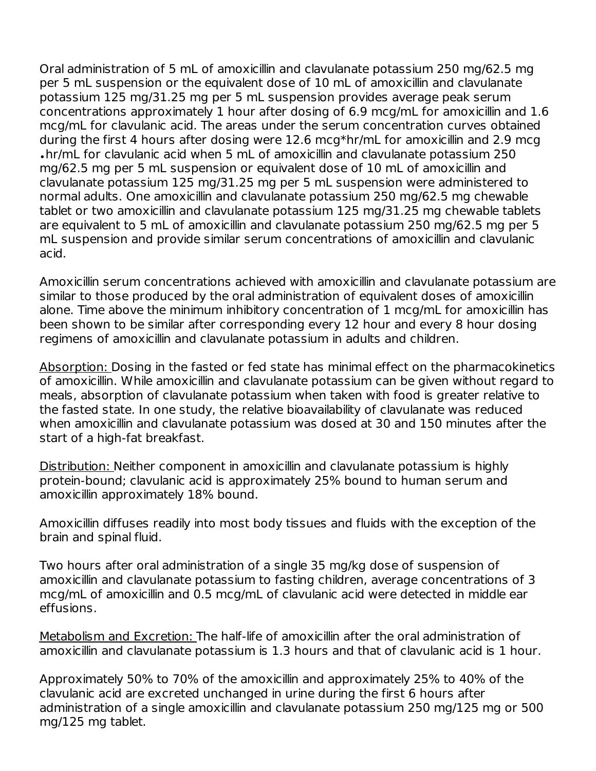Oral administration of 5 mL of amoxicillin and clavulanate potassium 250 mg/62.5 mg per 5 mL suspension or the equivalent dose of 10 mL of amoxicillin and clavulanate potassium 125 mg/31.25 mg per 5 mL suspension provides average peak serum concentrations approximately 1 hour after dosing of 6.9 mcg/mL for amoxicillin and 1.6 mcg/mL for clavulanic acid. The areas under the serum concentration curves obtained during the first 4 hours after dosing were 12.6 mcg\*hr/mL for amoxicillin and 2.9 mcg hr/mL for clavulanic acid when 5 mL of amoxicillin and clavulanate potassium 250 •mg/62.5 mg per 5 mL suspension or equivalent dose of 10 mL of amoxicillin and clavulanate potassium 125 mg/31.25 mg per 5 mL suspension were administered to normal adults. One amoxicillin and clavulanate potassium 250 mg/62.5 mg chewable tablet or two amoxicillin and clavulanate potassium 125 mg/31.25 mg chewable tablets are equivalent to 5 mL of amoxicillin and clavulanate potassium 250 mg/62.5 mg per 5 mL suspension and provide similar serum concentrations of amoxicillin and clavulanic acid.

Amoxicillin serum concentrations achieved with amoxicillin and clavulanate potassium are similar to those produced by the oral administration of equivalent doses of amoxicillin alone. Time above the minimum inhibitory concentration of 1 mcg/mL for amoxicillin has been shown to be similar after corresponding every 12 hour and every 8 hour dosing regimens of amoxicillin and clavulanate potassium in adults and children.

Absorption: Dosing in the fasted or fed state has minimal effect on the pharmacokinetics of amoxicillin. While amoxicillin and clavulanate potassium can be given without regard to meals, absorption of clavulanate potassium when taken with food is greater relative to the fasted state. In one study, the relative bioavailability of clavulanate was reduced when amoxicillin and clavulanate potassium was dosed at 30 and 150 minutes after the start of a high-fat breakfast.

Distribution: Neither component in amoxicillin and clavulanate potassium is highly protein-bound; clavulanic acid is approximately 25% bound to human serum and amoxicillin approximately 18% bound.

Amoxicillin diffuses readily into most body tissues and fluids with the exception of the brain and spinal fluid.

Two hours after oral administration of a single 35 mg/kg dose of suspension of amoxicillin and clavulanate potassium to fasting children, average concentrations of 3 mcg/mL of amoxicillin and 0.5 mcg/mL of clavulanic acid were detected in middle ear effusions.

Metabolism and Excretion: The half-life of amoxicillin after the oral administration of amoxicillin and clavulanate potassium is 1.3 hours and that of clavulanic acid is 1 hour.

Approximately 50% to 70% of the amoxicillin and approximately 25% to 40% of the clavulanic acid are excreted unchanged in urine during the first 6 hours after administration of a single amoxicillin and clavulanate potassium 250 mg/125 mg or 500 mg/125 mg tablet.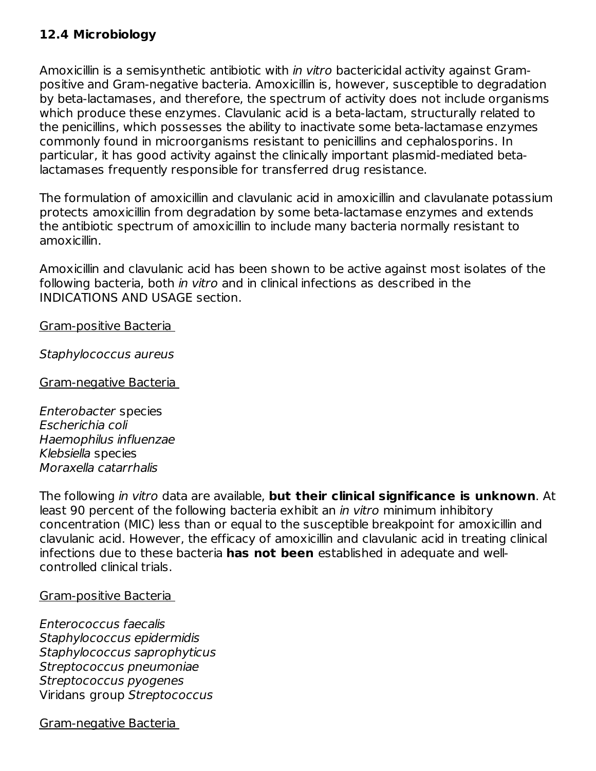### **12.4 Microbiology**

Amoxicillin is a semisynthetic antibiotic with in vitro bactericidal activity against Grampositive and Gram-negative bacteria. Amoxicillin is, however, susceptible to degradation by beta-lactamases, and therefore, the spectrum of activity does not include organisms which produce these enzymes. Clavulanic acid is a beta-lactam, structurally related to the penicillins, which possesses the ability to inactivate some beta-lactamase enzymes commonly found in microorganisms resistant to penicillins and cephalosporins. In particular, it has good activity against the clinically important plasmid-mediated betalactamases frequently responsible for transferred drug resistance.

The formulation of amoxicillin and clavulanic acid in amoxicillin and clavulanate potassium protects amoxicillin from degradation by some beta-lactamase enzymes and extends the antibiotic spectrum of amoxicillin to include many bacteria normally resistant to amoxicillin.

Amoxicillin and clavulanic acid has been shown to be active against most isolates of the following bacteria, both in vitro and in clinical infections as described in the INDICATIONS AND USAGE section.

Gram-positive Bacteria

Staphylococcus aureus

Gram-negative Bacteria

Enterobacter species Escherichia coli Haemophilus influenzae Klebsiella species Moraxella catarrhalis

The following in vitro data are available, **but their clinical significance is unknown**. At least 90 percent of the following bacteria exhibit an *in vitro* minimum inhibitory concentration (MIC) less than or equal to the susceptible breakpoint for amoxicillin and clavulanic acid. However, the efficacy of amoxicillin and clavulanic acid in treating clinical infections due to these bacteria **has not been** established in adequate and wellcontrolled clinical trials.

Gram-positive Bacteria

Enterococcus faecalis Staphylococcus epidermidis Staphylococcus saprophyticus Streptococcus pneumoniae Streptococcus pyogenes Viridans group Streptococcus

Gram-negative Bacteria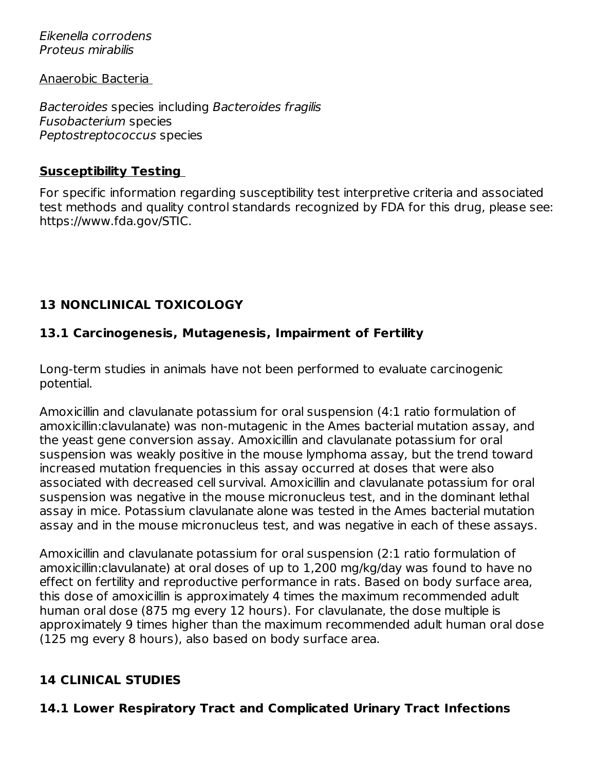Eikenella corrodens Proteus mirabilis

Anaerobic Bacteria

Bacteroides species including Bacteroides fragilis Fusobacterium species Peptostreptococcus species

#### **Susceptibility Testing**

For specific information regarding susceptibility test interpretive criteria and associated test methods and quality control standards recognized by FDA for this drug, please see: https://www.fda.gov/STIC.

### **13 NONCLINICAL TOXICOLOGY**

### **13.1 Carcinogenesis, Mutagenesis, Impairment of Fertility**

Long-term studies in animals have not been performed to evaluate carcinogenic potential.

Amoxicillin and clavulanate potassium for oral suspension (4:1 ratio formulation of amoxicillin:clavulanate) was non-mutagenic in the Ames bacterial mutation assay, and the yeast gene conversion assay. Amoxicillin and clavulanate potassium for oral suspension was weakly positive in the mouse lymphoma assay, but the trend toward increased mutation frequencies in this assay occurred at doses that were also associated with decreased cell survival. Amoxicillin and clavulanate potassium for oral suspension was negative in the mouse micronucleus test, and in the dominant lethal assay in mice. Potassium clavulanate alone was tested in the Ames bacterial mutation assay and in the mouse micronucleus test, and was negative in each of these assays.

Amoxicillin and clavulanate potassium for oral suspension (2:1 ratio formulation of amoxicillin:clavulanate) at oral doses of up to 1,200 mg/kg/day was found to have no effect on fertility and reproductive performance in rats. Based on body surface area, this dose of amoxicillin is approximately 4 times the maximum recommended adult human oral dose (875 mg every 12 hours). For clavulanate, the dose multiple is approximately 9 times higher than the maximum recommended adult human oral dose (125 mg every 8 hours), also based on body surface area.

### **14 CLINICAL STUDIES**

### **14.1 Lower Respiratory Tract and Complicated Urinary Tract Infections**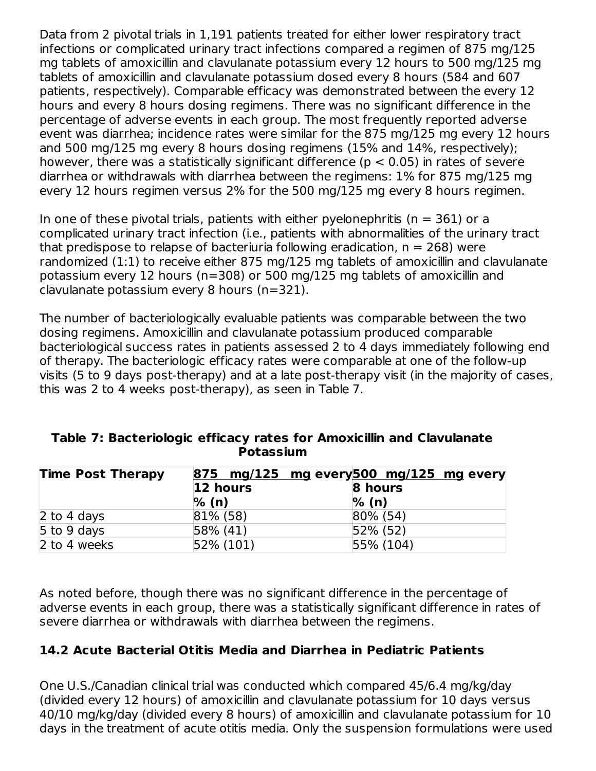Data from 2 pivotal trials in 1,191 patients treated for either lower respiratory tract infections or complicated urinary tract infections compared a regimen of 875 mg/125 mg tablets of amoxicillin and clavulanate potassium every 12 hours to 500 mg/125 mg tablets of amoxicillin and clavulanate potassium dosed every 8 hours (584 and 607 patients, respectively). Comparable efficacy was demonstrated between the every 12 hours and every 8 hours dosing regimens. There was no significant difference in the percentage of adverse events in each group. The most frequently reported adverse event was diarrhea; incidence rates were similar for the 875 mg/125 mg every 12 hours and 500 mg/125 mg every 8 hours dosing regimens (15% and 14%, respectively); however, there was a statistically significant difference ( $p < 0.05$ ) in rates of severe diarrhea or withdrawals with diarrhea between the regimens: 1% for 875 mg/125 mg every 12 hours regimen versus 2% for the 500 mg/125 mg every 8 hours regimen.

In one of these pivotal trials, patients with either pyelonephritis ( $n = 361$ ) or a complicated urinary tract infection (i.e., patients with abnormalities of the urinary tract that predispose to relapse of bacteriuria following eradication,  $n = 268$ ) were randomized (1:1) to receive either 875 mg/125 mg tablets of amoxicillin and clavulanate potassium every 12 hours (n=308) or 500 mg/125 mg tablets of amoxicillin and clavulanate potassium every 8 hours (n=321).

The number of bacteriologically evaluable patients was comparable between the two dosing regimens. Amoxicillin and clavulanate potassium produced comparable bacteriological success rates in patients assessed 2 to 4 days immediately following end of therapy. The bacteriologic efficacy rates were comparable at one of the follow-up visits (5 to 9 days post-therapy) and at a late post-therapy visit (in the majority of cases, this was 2 to 4 weeks post-therapy), as seen in Table 7.

| <b>Time Post Therapy</b> |               | 875 mg/125 mg every 500 mg/125 mg every |
|--------------------------|---------------|-----------------------------------------|
|                          | 12 hours      | 8 hours                                 |
|                          | % (n)         | $\%$ (n)                                |
| 2 to 4 days              | $ 81\%  (58)$ | $80\%$ (54)                             |
| 5 to 9 days              | $58\%$ (41)   | $ 52\% (52) $                           |
| 2 to 4 weeks             | 52% (101)     | $ 55\% (104)$                           |

### **Table 7: Bacteriologic efficacy rates for Amoxicillin and Clavulanate Potassium**

As noted before, though there was no significant difference in the percentage of adverse events in each group, there was a statistically significant difference in rates of severe diarrhea or withdrawals with diarrhea between the regimens.

#### **14.2 Acute Bacterial Otitis Media and Diarrhea in Pediatric Patients**

One U.S./Canadian clinical trial was conducted which compared 45/6.4 mg/kg/day (divided every 12 hours) of amoxicillin and clavulanate potassium for 10 days versus 40/10 mg/kg/day (divided every 8 hours) of amoxicillin and clavulanate potassium for 10 days in the treatment of acute otitis media. Only the suspension formulations were used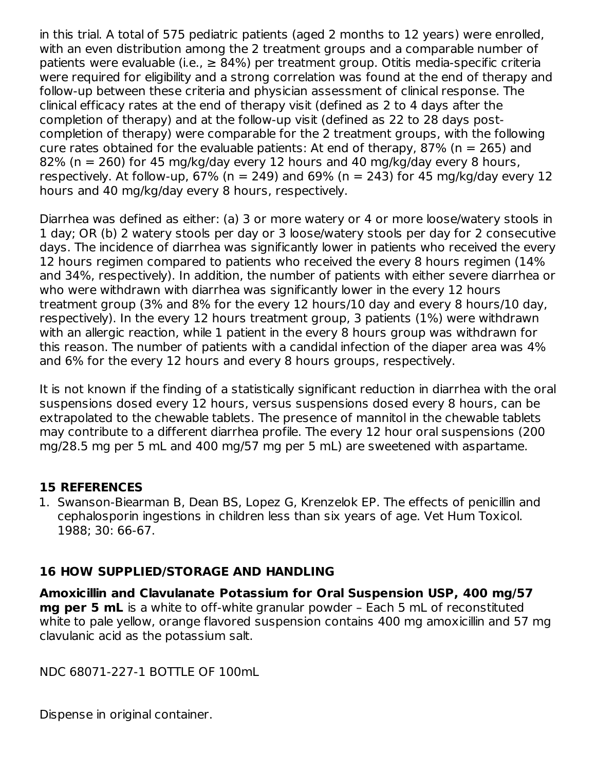in this trial. A total of 575 pediatric patients (aged 2 months to 12 years) were enrolled, with an even distribution among the 2 treatment groups and a comparable number of patients were evaluable (i.e.,  $\geq 84\%$ ) per treatment group. Otitis media-specific criteria were required for eligibility and a strong correlation was found at the end of therapy and follow-up between these criteria and physician assessment of clinical response. The clinical efficacy rates at the end of therapy visit (defined as 2 to 4 days after the completion of therapy) and at the follow-up visit (defined as 22 to 28 days postcompletion of therapy) were comparable for the 2 treatment groups, with the following cure rates obtained for the evaluable patients: At end of therapy, 87% ( $n = 265$ ) and 82% (n = 260) for 45 mg/kg/day every 12 hours and 40 mg/kg/day every 8 hours, respectively. At follow-up, 67% ( $n = 249$ ) and 69% ( $n = 243$ ) for 45 mg/kg/day every 12 hours and 40 mg/kg/day every 8 hours, respectively.

Diarrhea was defined as either: (a) 3 or more watery or 4 or more loose/watery stools in 1 day; OR (b) 2 watery stools per day or 3 loose/watery stools per day for 2 consecutive days. The incidence of diarrhea was significantly lower in patients who received the every 12 hours regimen compared to patients who received the every 8 hours regimen (14% and 34%, respectively). In addition, the number of patients with either severe diarrhea or who were withdrawn with diarrhea was significantly lower in the every 12 hours treatment group (3% and 8% for the every 12 hours/10 day and every 8 hours/10 day, respectively). In the every 12 hours treatment group, 3 patients (1%) were withdrawn with an allergic reaction, while 1 patient in the every 8 hours group was withdrawn for this reason. The number of patients with a candidal infection of the diaper area was 4% and 6% for the every 12 hours and every 8 hours groups, respectively.

It is not known if the finding of a statistically significant reduction in diarrhea with the oral suspensions dosed every 12 hours, versus suspensions dosed every 8 hours, can be extrapolated to the chewable tablets. The presence of mannitol in the chewable tablets may contribute to a different diarrhea profile. The every 12 hour oral suspensions (200 mg/28.5 mg per 5 mL and 400 mg/57 mg per 5 mL) are sweetened with aspartame.

#### **15 REFERENCES**

1. Swanson-Biearman B, Dean BS, Lopez G, Krenzelok EP. The effects of penicillin and cephalosporin ingestions in children less than six years of age. Vet Hum Toxicol. 1988; 30: 66-67.

### **16 HOW SUPPLIED/STORAGE AND HANDLING**

**Amoxicillin and Clavulanate Potassium for Oral Suspension USP, 400 mg/57 mg per 5 mL** is a white to off-white granular powder – Each 5 mL of reconstituted white to pale yellow, orange flavored suspension contains 400 mg amoxicillin and 57 mg clavulanic acid as the potassium salt.

NDC 68071-227-1 BOTTLE OF 100mL

Dispense in original container.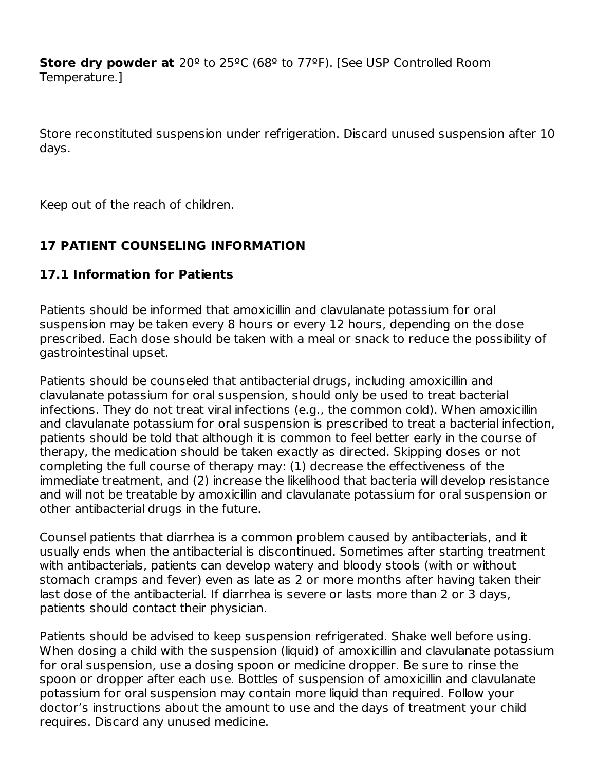**Store dry powder at** 20º to 25ºC (68º to 77ºF). [See USP Controlled Room Temperature.]

Store reconstituted suspension under refrigeration. Discard unused suspension after 10 days.

Keep out of the reach of children.

### **17 PATIENT COUNSELING INFORMATION**

### **17.1 Information for Patients**

Patients should be informed that amoxicillin and clavulanate potassium for oral suspension may be taken every 8 hours or every 12 hours, depending on the dose prescribed. Each dose should be taken with a meal or snack to reduce the possibility of gastrointestinal upset.

Patients should be counseled that antibacterial drugs, including amoxicillin and clavulanate potassium for oral suspension, should only be used to treat bacterial infections. They do not treat viral infections (e.g., the common cold). When amoxicillin and clavulanate potassium for oral suspension is prescribed to treat a bacterial infection, patients should be told that although it is common to feel better early in the course of therapy, the medication should be taken exactly as directed. Skipping doses or not completing the full course of therapy may: (1) decrease the effectiveness of the immediate treatment, and (2) increase the likelihood that bacteria will develop resistance and will not be treatable by amoxicillin and clavulanate potassium for oral suspension or other antibacterial drugs in the future.

Counsel patients that diarrhea is a common problem caused by antibacterials, and it usually ends when the antibacterial is discontinued. Sometimes after starting treatment with antibacterials, patients can develop watery and bloody stools (with or without stomach cramps and fever) even as late as 2 or more months after having taken their last dose of the antibacterial. If diarrhea is severe or lasts more than 2 or 3 days, patients should contact their physician.

Patients should be advised to keep suspension refrigerated. Shake well before using. When dosing a child with the suspension (liquid) of amoxicillin and clavulanate potassium for oral suspension, use a dosing spoon or medicine dropper. Be sure to rinse the spoon or dropper after each use. Bottles of suspension of amoxicillin and clavulanate potassium for oral suspension may contain more liquid than required. Follow your doctor's instructions about the amount to use and the days of treatment your child requires. Discard any unused medicine.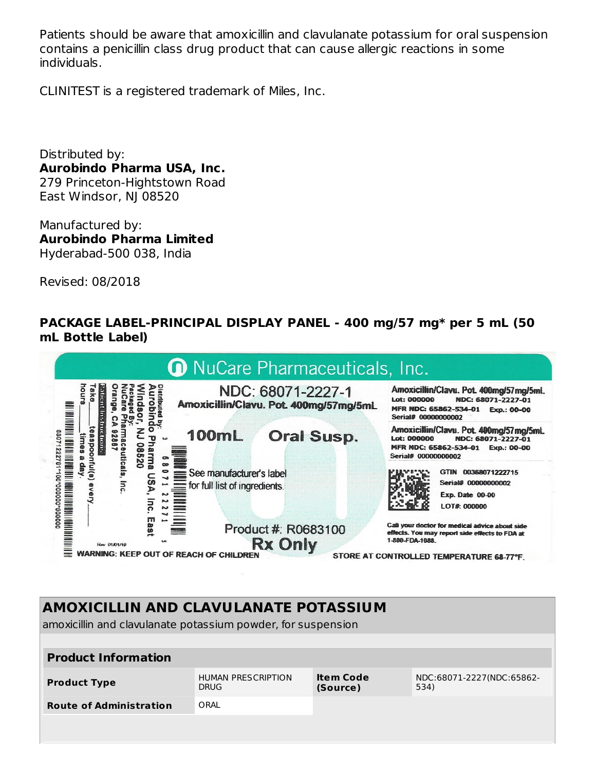Patients should be aware that amoxicillin and clavulanate potassium for oral suspension contains a penicillin class drug product that can cause allergic reactions in some individuals.

CLINITEST is a registered trademark of Miles, Inc.

Distributed by: **Aurobindo Pharma USA, Inc.** 279 Princeton-Hightstown Road East Windsor, NJ 08520

Manufactured by: **Aurobindo Pharma Limited** Hyderabad-500 038, India

Revised: 08/2018

#### **PACKAGE LABEL-PRINCIPAL DISPLAY PANEL - 400 mg/57 mg\* per 5 mL (50 mL Bottle Label)**



# **AMOXICILLIN AND CLAVULANATE POTASSIUM**

amoxicillin and clavulanate potassium powder, for suspension

| <b>Product Information</b>     |                                          |                              |                                   |
|--------------------------------|------------------------------------------|------------------------------|-----------------------------------|
| <b>Product Type</b>            | <b>HUMAN PRESCRIPTION</b><br><b>DRUG</b> | <b>Item Code</b><br>(Source) | NDC:68071-2227(NDC:65862-<br>534) |
| <b>Route of Administration</b> | ORAL                                     |                              |                                   |
|                                |                                          |                              |                                   |